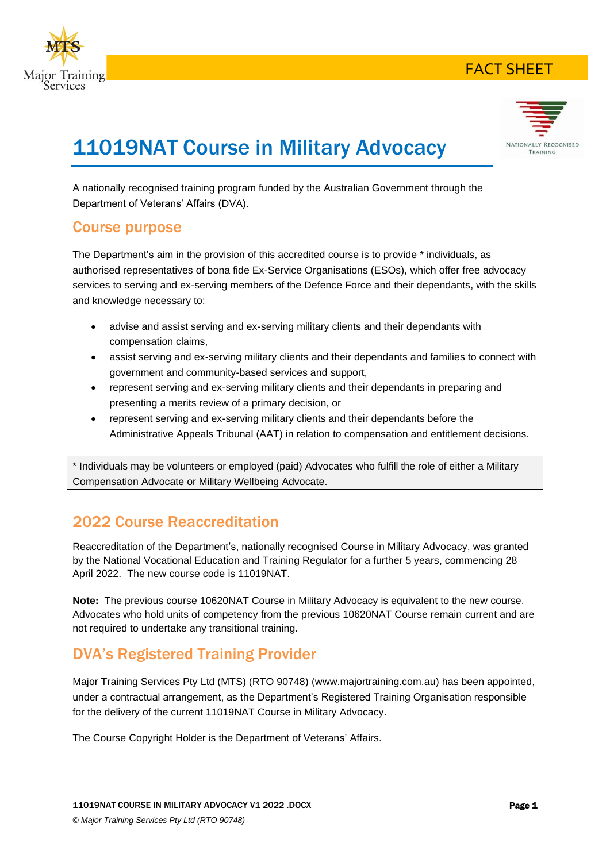





# 11019NAT Course in Military Advocacy

A nationally recognised training program funded by the Australian Government through the Department of Veterans' Affairs (DVA).

### Course purpose

The Department's aim in the provision of this accredited course is to provide \* individuals, as authorised representatives of bona fide Ex-Service Organisations (ESOs), which offer free advocacy services to serving and ex-serving members of the Defence Force and their dependants, with the skills and knowledge necessary to:

- advise and assist serving and ex-serving military clients and their dependants with compensation claims,
- assist serving and ex-serving military clients and their dependants and families to connect with government and community-based services and support,
- represent serving and ex-serving military clients and their dependants in preparing and presenting a merits review of a primary decision, or
- represent serving and ex-serving military clients and their dependants before the Administrative Appeals Tribunal (AAT) in relation to compensation and entitlement decisions.

\* Individuals may be volunteers or employed (paid) Advocates who fulfill the role of either a Military Compensation Advocate or Military Wellbeing Advocate.

## 2022 Course Reaccreditation

Reaccreditation of the Department's, nationally recognised Course in Military Advocacy, was granted by the National Vocational Education and Training Regulator for a further 5 years, commencing 28 April 2022. The new course code is 11019NAT.

**Note:** The previous course 10620NAT Course in Military Advocacy is equivalent to the new course. Advocates who hold units of competency from the previous 10620NAT Course remain current and are not required to undertake any transitional training.

# DVA's Registered Training Provider

Major Training Services Pty Ltd (MTS) (RTO 90748) (www.majortraining.com.au) has been appointed, under a contractual arrangement, as the Department's Registered Training Organisation responsible for the delivery of the current 11019NAT Course in Military Advocacy.

The Course Copyright Holder is the Department of Veterans' Affairs.

11019NAT COURSE IN MILITARY ADVOCACY V1 2022 .DOCX Page 1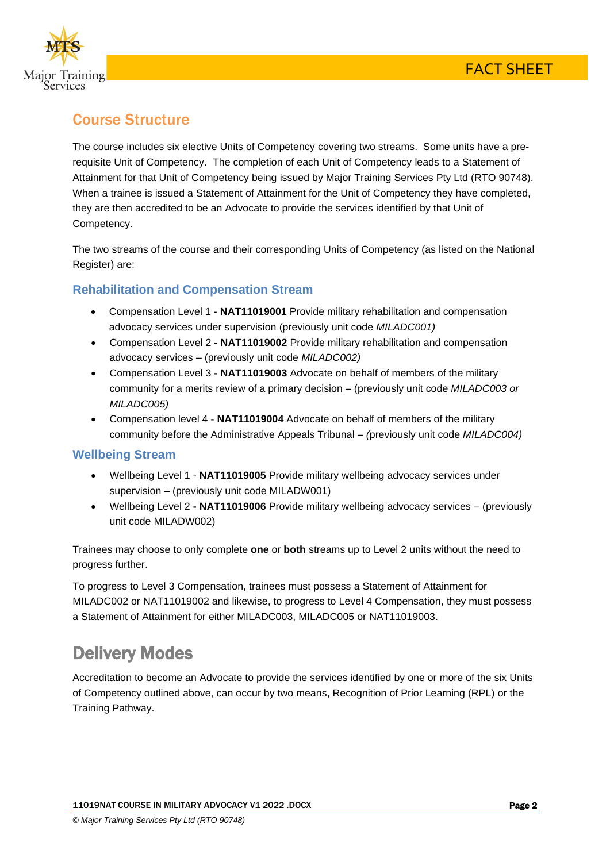

# Course Structure

The course includes six elective Units of Competency covering two streams. Some units have a prerequisite Unit of Competency. The completion of each Unit of Competency leads to a Statement of Attainment for that Unit of Competency being issued by Major Training Services Pty Ltd (RTO 90748). When a trainee is issued a Statement of Attainment for the Unit of Competency they have completed, they are then accredited to be an Advocate to provide the services identified by that Unit of Competency.

The two streams of the course and their corresponding Units of Competency (as listed on the National Register) are:

#### **Rehabilitation and Compensation Stream**

- Compensation Level 1 **NAT11019001** Provide military rehabilitation and compensation advocacy services under supervision (previously unit code *MILADC001)*
- Compensation Level 2 **- NAT11019002** Provide military rehabilitation and compensation advocacy services – (previously unit code *MILADC002)*
- Compensation Level 3 **- NAT11019003** Advocate on behalf of members of the military community for a merits review of a primary decision – (previously unit code *MILADC003 or MILADC005)*
- Compensation level 4 **- NAT11019004** Advocate on behalf of members of the military community before the Administrative Appeals Tribunal – *(*previously unit code *MILADC004)*

#### **Wellbeing Stream**

- Wellbeing Level 1 **NAT11019005** Provide military wellbeing advocacy services under supervision – (previously unit code MILADW001)
- Wellbeing Level 2 **- NAT11019006** Provide military wellbeing advocacy services (previously unit code MILADW002)

Trainees may choose to only complete **one** or **both** streams up to Level 2 units without the need to progress further.

To progress to Level 3 Compensation, trainees must possess a Statement of Attainment for MILADC002 or NAT11019002 and likewise, to progress to Level 4 Compensation, they must possess a Statement of Attainment for either MILADC003, MILADC005 or NAT11019003.

# Delivery Modes

Accreditation to become an Advocate to provide the services identified by one or more of the six Units of Competency outlined above, can occur by two means, Recognition of Prior Learning (RPL) or the Training Pathway.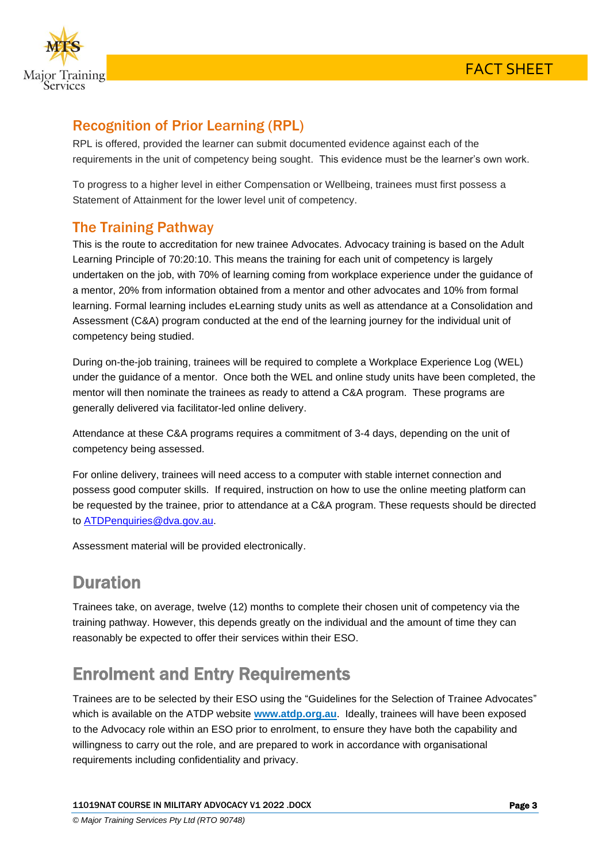

### Recognition of Prior Learning (RPL)

RPL is offered, provided the learner can submit documented evidence against each of the requirements in the unit of competency being sought. This evidence must be the learner's own work.

To progress to a higher level in either Compensation or Wellbeing, trainees must first possess a Statement of Attainment for the lower level unit of competency.

### The Training Pathway

This is the route to accreditation for new trainee Advocates. Advocacy training is based on the Adult Learning Principle of 70:20:10. This means the training for each unit of competency is largely undertaken on the job, with 70% of learning coming from workplace experience under the guidance of a mentor, 20% from information obtained from a mentor and other advocates and 10% from formal learning. Formal learning includes eLearning study units as well as attendance at a Consolidation and Assessment (C&A) program conducted at the end of the learning journey for the individual unit of competency being studied.

During on-the-job training, trainees will be required to complete a Workplace Experience Log (WEL) under the guidance of a mentor. Once both the WEL and online study units have been completed, the mentor will then nominate the trainees as ready to attend a C&A program. These programs are generally delivered via facilitator-led online delivery.

Attendance at these C&A programs requires a commitment of 3-4 days, depending on the unit of competency being assessed.

For online delivery, trainees will need access to a computer with stable internet connection and possess good computer skills. If required, instruction on how to use the online meeting platform can be requested by the trainee, prior to attendance at a C&A program. These requests should be directed to [ATDPenquiries@dva.gov.au.](mailto:ATDPenquiries@dva.gov.au)

Assessment material will be provided electronically.

# Duration

Trainees take, on average, twelve (12) months to complete their chosen unit of competency via the training pathway. However, this depends greatly on the individual and the amount of time they can reasonably be expected to offer their services within their ESO.

# Enrolment and Entry Requirements

Trainees are to be selected by their ESO using the "Guidelines for the Selection of Trainee Advocates" which is available on the ATDP website **www.atdp.org.au**. Ideally, trainees will have been exposed to the Advocacy role within an ESO prior to enrolment, to ensure they have both the capability and willingness to carry out the role, and are prepared to work in accordance with organisational requirements including confidentiality and privacy.

11019NAT COURSE IN MILITARY ADVOCACY V1 2022 .DOCX Page 3